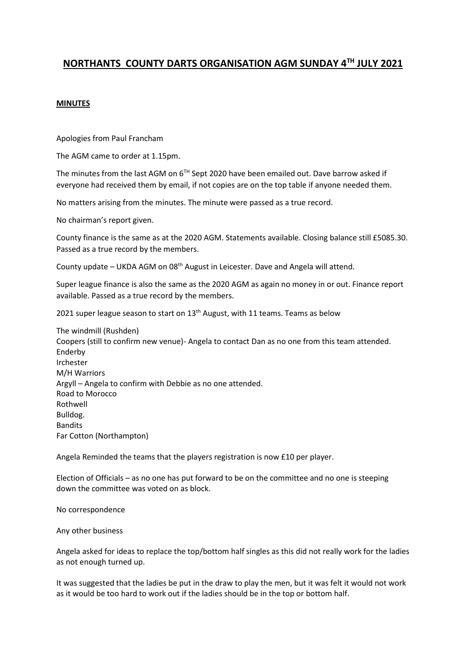## **NORTHANTS COUNTY DARTS ORGANISATION AGM SUNDAY 4TH JULY 2021**

## **MINUTES**

Apologies from Paul Francham

The AGM came to order at 1.15pm.

The minutes from the last AGM on  $6^{Th}$  Sept 2020 have been emailed out. Dave barrow asked if everyone had received them by email, if not copies are on the top table if anyone needed them.

No matters arising from the minutes. The minute were passed as a true record.

No chairman's report given.

County finance is the same as at the 2020 AGM. Statements available. Closing balance still £5085.30. Passed as a true record by the members.

County update – UKDA AGM on 08<sup>th</sup> August in Leicester. Dave and Angela will attend.

Super league finance is also the same as the 2020 AGM as again no money in or out. Finance report available. Passed as a true record by the members.

2021 super league season to start on 13<sup>th</sup> August, with 11 teams. Teams as below

The windmill (Rushden) Coopers (still to confirm new venue)- Angela to contact Dan as no one from this team attended. Enderby Irchester M/H Warriors Argyll – Angela to confirm with Debbie as no one attended. Road to Morocco Rothwell Bulldog. Bandits Far Cotton (Northampton)

Angela Reminded the teams that the players registration is now £10 per player.

Election of Officials – as no one has put forward to be on the committee and no one is steeping down the committee was voted on as block.

No correspondence

Any other business

Angela asked for ideas to replace the top/bottom half singles as this did not really work for the ladies as not enough turned up.

It was suggested that the ladies be put in the draw to play the men, but it was felt it would not work as it would be too hard to work out if the ladies should be in the top or bottom half.